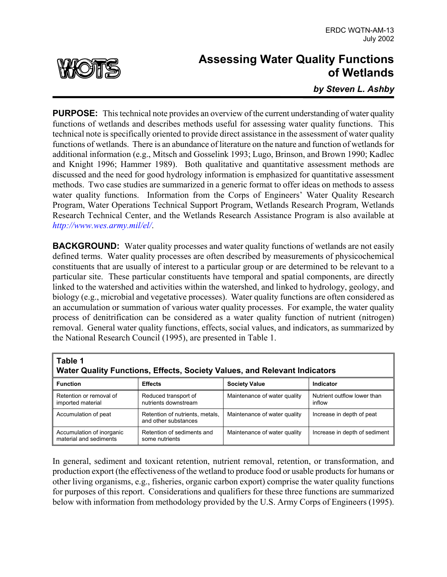

## **Assessing Water Quality Functions of Wetlands**

*by Steven L. Ashby*

**PURPOSE:** This technical note provides an overview of the current understanding of water quality functions of wetlands and describes methods useful for assessing water quality functions. This technical note is specifically oriented to provide direct assistance in the assessment of water quality functions of wetlands. There is an abundance of literature on the nature and function of wetlands for additional information (e.g., Mitsch and Gosselink 1993; Lugo, Brinson, and Brown 1990; Kadlec and Knight 1996; Hammer 1989). Both qualitative and quantitative assessment methods are discussed and the need for good hydrology information is emphasized for quantitative assessment methods. Two case studies are summarized in a generic format to offer ideas on methods to assess water quality functions. Information from the Corps of Engineers' Water Quality Research Program, Water Operations Technical Support Program, Wetlands Research Program, Wetlands Research Technical Center, and the Wetlands Research Assistance Program is also available at *<http://www.wes.army.mil/el/>*.

**BACKGROUND:** Water quality processes and water quality functions of wetlands are not easily defined terms. Water quality processes are often described by measurements of physicochemical constituents that are usually of interest to a particular group or are determined to be relevant to a particular site. These particular constituents have temporal and spatial components, are directly linked to the watershed and activities within the watershed, and linked to hydrology, geology, and biology (e.g., microbial and vegetative processes). Water quality functions are often considered as an accumulation or summation of various water quality processes. For example, the water quality process of denitrification can be considered as a water quality function of nutrient (nitrogen) removal. General water quality functions, effects, social values, and indicators, as summarized by the National Research Council (1995), are presented in Table 1.

| Table 1<br>Water Quality Functions, Effects, Society Values, and Relevant Indicators |                                                         |                              |                                       |
|--------------------------------------------------------------------------------------|---------------------------------------------------------|------------------------------|---------------------------------------|
| <b>Function</b>                                                                      | <b>Effects</b>                                          | <b>Society Value</b>         | <b>Indicator</b>                      |
| Retention or removal of<br>imported material                                         | Reduced transport of<br>nutrients downstream            | Maintenance of water quality | Nutrient outflow lower than<br>inflow |
| Accumulation of peat                                                                 | Retention of nutrients, metals,<br>and other substances | Maintenance of water quality | Increase in depth of peat             |
| Accumulation of inorganic<br>material and sediments                                  | Retention of sediments and<br>some nutrients            | Maintenance of water quality | Increase in depth of sediment         |

In general, sediment and toxicant retention, nutrient removal, retention, or transformation, and production export (the effectiveness of the wetland to produce food or usable products for humans or other living organisms, e.g., fisheries, organic carbon export) comprise the water quality functions for purposes of this report. Considerations and qualifiers for these three functions are summarized below with information from methodology provided by the U.S. Army Corps of Engineers (1995).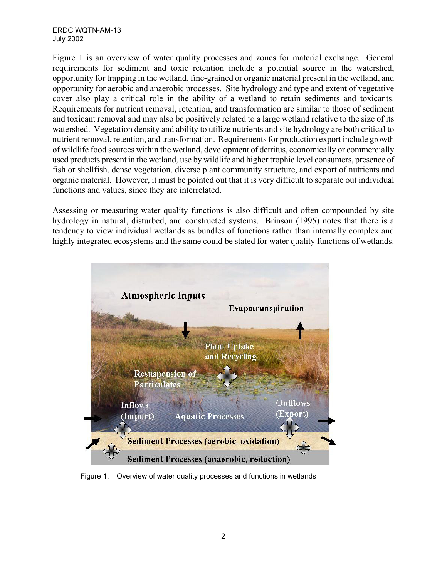ERDC WQTN-AM-13 July 2002

Figure 1 is an overview of water quality processes and zones for material exchange. General requirements for sediment and toxic retention include a potential source in the watershed, opportunity for trapping in the wetland, fine-grained or organic material present in the wetland, and opportunity for aerobic and anaerobic processes. Site hydrology and type and extent of vegetative cover also play a critical role in the ability of a wetland to retain sediments and toxicants. Requirements for nutrient removal, retention, and transformation are similar to those of sediment and toxicant removal and may also be positively related to a large wetland relative to the size of its watershed. Vegetation density and ability to utilize nutrients and site hydrology are both critical to nutrient removal, retention, and transformation. Requirements for production export include growth of wildlife food sources within the wetland, development of detritus, economically or commercially used products present in the wetland, use by wildlife and higher trophic level consumers, presence of fish or shellfish, dense vegetation, diverse plant community structure, and export of nutrients and organic material. However, it must be pointed out that it is very difficult to separate out individual functions and values, since they are interrelated.

Assessing or measuring water quality functions is also difficult and often compounded by site hydrology in natural, disturbed, and constructed systems. Brinson (1995) notes that there is a tendency to view individual wetlands as bundles of functions rather than internally complex and highly integrated ecosystems and the same could be stated for water quality functions of wetlands.



Figure 1. Overview of water quality processes and functions in wetlands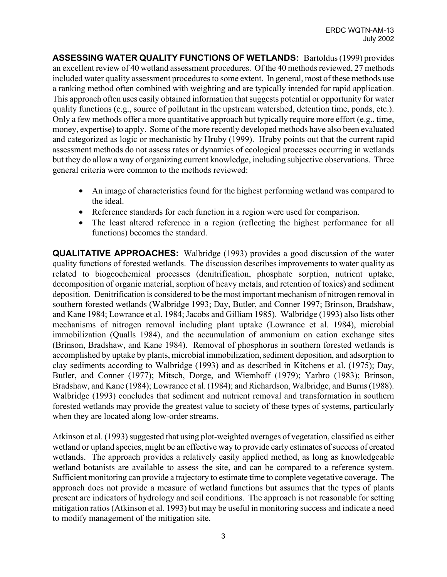**ASSESSING WATER QUALITY FUNCTIONS OF WETLANDS:** Bartoldus (1999) provides an excellent review of 40 wetland assessment procedures. Of the 40 methods reviewed, 27 methods included water quality assessment procedures to some extent. In general, most of these methods use a ranking method often combined with weighting and are typically intended for rapid application. This approach often uses easily obtained information that suggests potential or opportunity for water quality functions (e.g., source of pollutant in the upstream watershed, detention time, ponds, etc.). Only a few methods offer a more quantitative approach but typically require more effort (e.g., time, money, expertise) to apply. Some of the more recently developed methods have also been evaluated and categorized as logic or mechanistic by Hruby (1999). Hruby points out that the current rapid assessment methods do not assess rates or dynamics of ecological processes occurring in wetlands but they do allow a way of organizing current knowledge, including subjective observations. Three general criteria were common to the methods reviewed:

- An image of characteristics found for the highest performing wetland was compared to the ideal.
- Reference standards for each function in a region were used for comparison.
- The least altered reference in a region (reflecting the highest performance for all functions) becomes the standard.

**QUALITATIVE APPROACHES:** Walbridge (1993) provides a good discussion of the water quality functions of forested wetlands. The discussion describes improvements to water quality as related to biogeochemical processes (denitrification, phosphate sorption, nutrient uptake, decomposition of organic material, sorption of heavy metals, and retention of toxics) and sediment deposition. Denitrification is considered to be the most important mechanism of nitrogen removal in southern forested wetlands (Walbridge 1993; Day, Butler, and Conner 1997; Brinson, Bradshaw, and Kane 1984; Lowrance et al. 1984; Jacobs and Gilliam 1985). Walbridge (1993) also lists other mechanisms of nitrogen removal including plant uptake (Lowrance et al. 1984), microbial immobilization (Qualls 1984), and the accumulation of ammonium on cation exchange sites (Brinson, Bradshaw, and Kane 1984). Removal of phosphorus in southern forested wetlands is accomplished by uptake by plants, microbial immobilization, sediment deposition, and adsorption to clay sediments according to Walbridge (1993) and as described in Kitchens et al. (1975); Day, Butler, and Conner (1977); Mitsch, Dorge, and Wiemhoff (1979); Yarbro (1983); Brinson, Bradshaw, and Kane (1984); Lowrance et al. (1984); and Richardson, Walbridge, and Burns (1988). Walbridge (1993) concludes that sediment and nutrient removal and transformation in southern forested wetlands may provide the greatest value to society of these types of systems, particularly when they are located along low-order streams.

Atkinson et al. (1993) suggested that using plot-weighted averages of vegetation, classified as either wetland or upland species, might be an effective way to provide early estimates of success of created wetlands. The approach provides a relatively easily applied method, as long as knowledgeable wetland botanists are available to assess the site, and can be compared to a reference system. Sufficient monitoring can provide a trajectory to estimate time to complete vegetative coverage. The approach does not provide a measure of wetland functions but assumes that the types of plants present are indicators of hydrology and soil conditions. The approach is not reasonable for setting mitigation ratios (Atkinson et al. 1993) but may be useful in monitoring success and indicate a need to modify management of the mitigation site.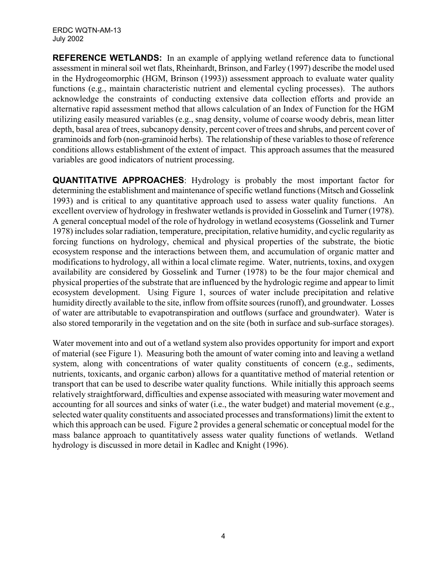**REFERENCE WETLANDS:** In an example of applying wetland reference data to functional assessment in mineral soil wet flats, Rheinhardt, Brinson, and Farley (1997) describe the model used in the Hydrogeomorphic (HGM, Brinson (1993)) assessment approach to evaluate water quality functions (e.g., maintain characteristic nutrient and elemental cycling processes). The authors acknowledge the constraints of conducting extensive data collection efforts and provide an alternative rapid assessment method that allows calculation of an Index of Function for the HGM utilizing easily measured variables (e.g., snag density, volume of coarse woody debris, mean litter depth, basal area of trees, subcanopy density, percent cover of trees and shrubs, and percent cover of graminoids and forb (non-graminoid herbs). The relationship of these variables to those of reference conditions allows establishment of the extent of impact. This approach assumes that the measured variables are good indicators of nutrient processing.

**QUANTITATIVE APPROACHES**: Hydrology is probably the most important factor for determining the establishment and maintenance of specific wetland functions (Mitsch and Gosselink 1993) and is critical to any quantitative approach used to assess water quality functions. An excellent overview of hydrology in freshwater wetlands is provided in Gosselink and Turner (1978). A general conceptual model of the role of hydrology in wetland ecosystems (Gosselink and Turner 1978) includes solar radiation, temperature, precipitation, relative humidity, and cyclic regularity as forcing functions on hydrology, chemical and physical properties of the substrate, the biotic ecosystem response and the interactions between them, and accumulation of organic matter and modifications to hydrology, all within a local climate regime. Water, nutrients, toxins, and oxygen availability are considered by Gosselink and Turner (1978) to be the four major chemical and physical properties of the substrate that are influenced by the hydrologic regime and appear to limit ecosystem development. Using Figure 1, sources of water include precipitation and relative humidity directly available to the site, inflow from offsite sources (runoff), and groundwater. Losses of water are attributable to evapotranspiration and outflows (surface and groundwater). Water is also stored temporarily in the vegetation and on the site (both in surface and sub-surface storages).

Water movement into and out of a wetland system also provides opportunity for import and export of material (see Figure 1). Measuring both the amount of water coming into and leaving a wetland system, along with concentrations of water quality constituents of concern (e.g., sediments, nutrients, toxicants, and organic carbon) allows for a quantitative method of material retention or transport that can be used to describe water quality functions. While initially this approach seems relatively straightforward, difficulties and expense associated with measuring water movement and accounting for all sources and sinks of water (i.e., the water budget) and material movement (e.g., selected water quality constituents and associated processes and transformations) limit the extent to which this approach can be used. Figure 2 provides a general schematic or conceptual model for the mass balance approach to quantitatively assess water quality functions of wetlands. Wetland hydrology is discussed in more detail in Kadlec and Knight (1996).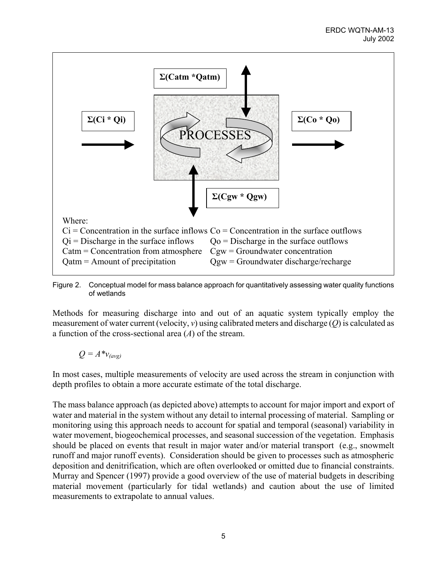

Figure 2. Conceptual model for mass balance approach for quantitatively assessing water quality functions of wetlands

Methods for measuring discharge into and out of an aquatic system typically employ the measurement of water current (velocity, *v*) using calibrated meters and discharge (*Q*) is calculated as a function of the cross-sectional area (*A*) of the stream.

$$
Q = A^*v_{\text{(avg)}}
$$

In most cases, multiple measurements of velocity are used across the stream in conjunction with depth profiles to obtain a more accurate estimate of the total discharge.

The mass balance approach (as depicted above) attempts to account for major import and export of water and material in the system without any detail to internal processing of material. Sampling or monitoring using this approach needs to account for spatial and temporal (seasonal) variability in water movement, biogeochemical processes, and seasonal succession of the vegetation. Emphasis should be placed on events that result in major water and/or material transport (e.g., snowmelt runoff and major runoff events). Consideration should be given to processes such as atmospheric deposition and denitrification, which are often overlooked or omitted due to financial constraints. Murray and Spencer (1997) provide a good overview of the use of material budgets in describing material movement (particularly for tidal wetlands) and caution about the use of limited measurements to extrapolate to annual values.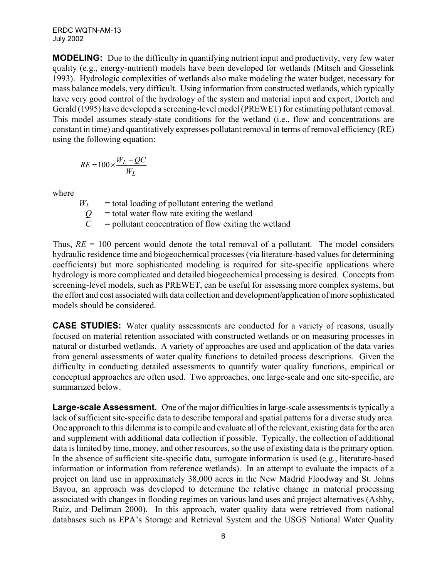ERDC WQTN-AM-13 July 2002

**MODELING:** Due to the difficulty in quantifying nutrient input and productivity, very few water quality (e.g., energy-nutrient) models have been developed for wetlands (Mitsch and Gosselink 1993). Hydrologic complexities of wetlands also make modeling the water budget, necessary for mass balance models, very difficult. Using information from constructed wetlands, which typically have very good control of the hydrology of the system and material input and export, Dortch and Gerald (1995) have developed a screening-level model (PREWET) for estimating pollutant removal. This model assumes steady-state conditions for the wetland (i.e., flow and concentrations are constant in time) and quantitatively expresses pollutant removal in terms of removal efficiency (RE) using the following equation:

$$
RE = 100 \times \frac{W_L - QC}{W_L}
$$

where

 $W_L$  = total loading of pollutant entering the wetland  $Q =$  total water flow rate exiting the wetland<br> $C =$  pollutant concentration of flow exiting the = pollutant concentration of flow exiting the wetland

Thus,  $RE = 100$  percent would denote the total removal of a pollutant. The model considers hydraulic residence time and biogeochemical processes (via literature-based values for determining coefficients) but more sophisticated modeling is required for site-specific applications where hydrology is more complicated and detailed biogeochemical processing is desired. Concepts from screening-level models, such as PREWET, can be useful for assessing more complex systems, but the effort and cost associated with data collection and development/application of more sophisticated models should be considered.

**CASE STUDIES:** Water quality assessments are conducted for a variety of reasons, usually focused on material retention associated with constructed wetlands or on measuring processes in natural or disturbed wetlands. A variety of approaches are used and application of the data varies from general assessments of water quality functions to detailed process descriptions. Given the difficulty in conducting detailed assessments to quantify water quality functions, empirical or conceptual approaches are often used. Two approaches, one large-scale and one site-specific, are summarized below.

**Large-scale Assessment.** One of the major difficulties in large-scale assessments is typically a lack of sufficient site-specific data to describe temporal and spatial patterns for a diverse study area. One approach to this dilemma is to compile and evaluate all of the relevant, existing data for the area and supplement with additional data collection if possible. Typically, the collection of additional data is limited by time, money, and other resources, so the use of existing data is the primary option. In the absence of sufficient site-specific data, surrogate information is used (e.g., literature-based information or information from reference wetlands). In an attempt to evaluate the impacts of a project on land use in approximately 38,000 acres in the New Madrid Floodway and St. Johns Bayou, an approach was developed to determine the relative change in material processing associated with changes in flooding regimes on various land uses and project alternatives (Ashby, Ruiz, and Deliman 2000). In this approach, water quality data were retrieved from national databases such as EPA's Storage and Retrieval System and the USGS National Water Quality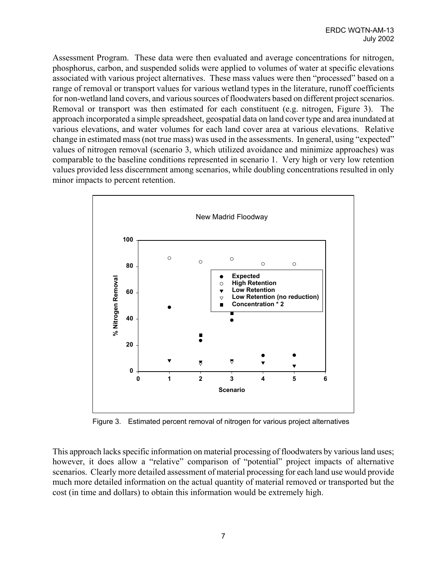Assessment Program. These data were then evaluated and average concentrations for nitrogen, phosphorus, carbon, and suspended solids were applied to volumes of water at specific elevations associated with various project alternatives. These mass values were then "processed" based on a range of removal or transport values for various wetland types in the literature, runoff coefficients for non-wetland land covers, and various sources of floodwaters based on different project scenarios. Removal or transport was then estimated for each constituent (e.g. nitrogen, Figure 3). The approach incorporated a simple spreadsheet, geospatial data on land cover type and area inundated at various elevations, and water volumes for each land cover area at various elevations. Relative change in estimated mass (not true mass) was used in the assessments. In general, using "expected" values of nitrogen removal (scenario 3, which utilized avoidance and minimize approaches) was comparable to the baseline conditions represented in scenario 1. Very high or very low retention values provided less discernment among scenarios, while doubling concentrations resulted in only minor impacts to percent retention.



Figure 3. Estimated percent removal of nitrogen for various project alternatives

This approach lacks specific information on material processing of floodwaters by various land uses; however, it does allow a "relative" comparison of "potential" project impacts of alternative scenarios. Clearly more detailed assessment of material processing for each land use would provide much more detailed information on the actual quantity of material removed or transported but the cost (in time and dollars) to obtain this information would be extremely high.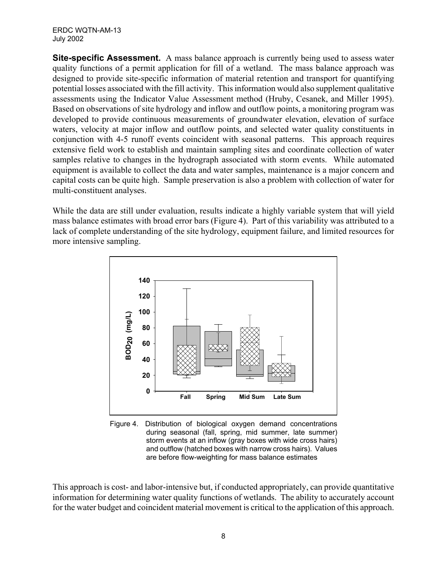ERDC WQTN-AM-13 July 2002

**Site-specific Assessment.** A mass balance approach is currently being used to assess water quality functions of a permit application for fill of a wetland. The mass balance approach was designed to provide site-specific information of material retention and transport for quantifying potential losses associated with the fill activity. This information would also supplement qualitative assessments using the Indicator Value Assessment method (Hruby, Cesanek, and Miller 1995). Based on observations of site hydrology and inflow and outflow points, a monitoring program was developed to provide continuous measurements of groundwater elevation, elevation of surface waters, velocity at major inflow and outflow points, and selected water quality constituents in conjunction with 4-5 runoff events coincident with seasonal patterns. This approach requires extensive field work to establish and maintain sampling sites and coordinate collection of water samples relative to changes in the hydrograph associated with storm events. While automated equipment is available to collect the data and water samples, maintenance is a major concern and capital costs can be quite high. Sample preservation is also a problem with collection of water for multi-constituent analyses.

While the data are still under evaluation, results indicate a highly variable system that will yield mass balance estimates with broad error bars (Figure 4). Part of this variability was attributed to a lack of complete understanding of the site hydrology, equipment failure, and limited resources for more intensive sampling.



Figure 4. Distribution of biological oxygen demand concentrations during seasonal (fall, spring, mid summer, late summer) storm events at an inflow (gray boxes with wide cross hairs) and outflow (hatched boxes with narrow cross hairs). Values are before flow-weighting for mass balance estimates

This approach is cost- and labor-intensive but, if conducted appropriately, can provide quantitative information for determining water quality functions of wetlands. The ability to accurately account for the water budget and coincident material movement is critical to the application of this approach.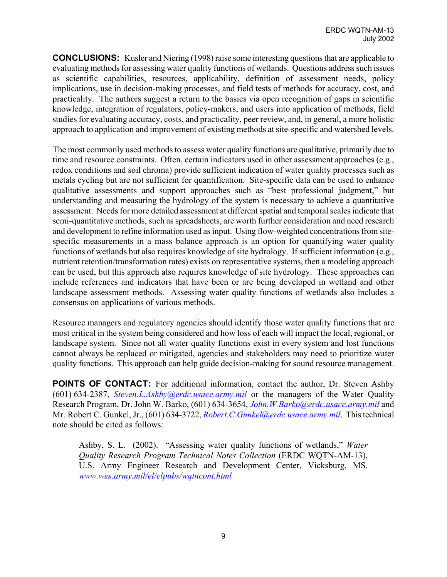**CONCLUSIONS:** Kusler and Niering (1998) raise some interesting questions that are applicable to evaluating methods for assessing water quality functions of wetlands. Questions address such issues as scientific capabilities, resources, applicability, definition of assessment needs, policy implications, use in decision-making processes, and field tests of methods for accuracy, cost, and practicality. The authors suggest a return to the basics via open recognition of gaps in scientific knowledge, integration of regulators, policy-makers, and users into application of methods, field studies for evaluating accuracy, costs, and practicality, peer review, and, in general, a more holistic approach to application and improvement of existing methods at site-specific and watershed levels.

The most commonly used methods to assess water quality functions are qualitative, primarily due to time and resource constraints. Often, certain indicators used in other assessment approaches (e.g., redox conditions and soil chroma) provide sufficient indication of water quality processes such as metals cycling but are not sufficient for quantification. Site-specific data can be used to enhance qualitative assessments and support approaches such as "best professional judgment," but understanding and measuring the hydrology of the system is necessary to achieve a quantitative assessment. Needs for more detailed assessment at different spatial and temporal scales indicate that semi-quantitative methods, such as spreadsheets, are worth further consideration and need research and development to refine information used as input. Using flow-weighted concentrations from sitespecific measurements in a mass balance approach is an option for quantifying water quality functions of wetlands but also requires knowledge of site hydrology. If sufficient information (e.g., nutrient retention/transformation rates) exists on representative systems, then a modeling approach can be used, but this approach also requires knowledge of site hydrology. These approaches can include references and indicators that have been or are being developed in wetland and other landscape assessment methods. Assessing water quality functions of wetlands also includes a consensus on applications of various methods.

Resource managers and regulatory agencies should identify those water quality functions that are most critical in the system being considered and how loss of each will impact the local, regional, or landscape system. Since not all water quality functions exist in every system and lost functions cannot always be replaced or mitigated, agencies and stakeholders may need to prioritize water quality functions. This approach can help guide decision-making for sound resource management.

**POINTS OF CONTACT:** For additional information, contact the author, Dr. Steven Ashby (601) 634-2387, *[Steven.L.Ashby@erdc.usace.army.mil](mailto:Steven.L.Ashby@erdc.usace.army.mil)* or the managers of the Water Quality Research Program, Dr. John W. Barko, (601) 634-3654, *[John.W.Barko@erdc.usace.army.mil](mailto:John.W.Barko@erdc.usace.army.mil)* and Mr. Robert C. Gunkel, Jr., (601) 634-3722, *[Robert.C.Gunkel@erdc.usace.army.mil](mailto:Robert.C.Gunkel@erdc.usace.army.mil)*. This technical note should be cited as follows:

Ashby, S. L. (2002). "Assessing water quality functions of wetlands," *Water Quality Research Program Technical Notes Collection* (ERDC WQTN-AM-13), U.S. Army Engineer Research and Development Center, Vicksburg, MS. *[www.wes.army.mil/el/elpubs/wqtncont.html](http://www.wes.army.mil/el/elpubs/wqtncont.html)*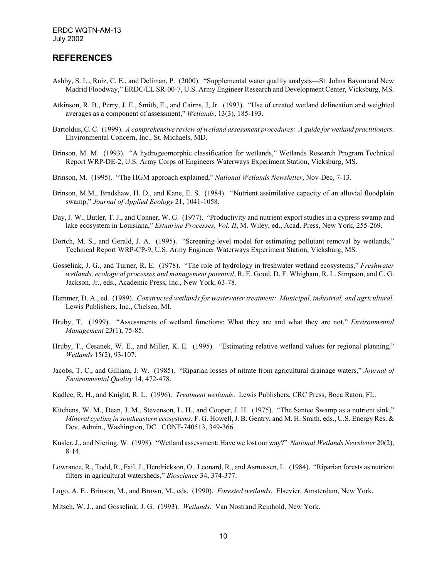## **REFERENCES**

- Ashby, S. L., Ruiz, C. E., and Deliman, P. (2000). "Supplemental water quality analysis—St. Johns Bayou and New Madrid Floodway," ERDC/EL SR-00-7, U.S. Army Engineer Research and Development Center, Vicksburg, MS.
- Atkinson, R. B., Perry, J. E., Smith, E., and Cairns, J, Jr. (1993). "Use of created wetland delineation and weighted averages as a component of assessment," *Wetlands*, 13(3), 185-193.
- Bartoldus, C. C. (1999). *A comprehensive review of wetland assessment procedures: A guide for wetland practitioners*. Environmental Concern, Inc., St. Michaels, MD.
- Brinson, M. M. (1993). "A hydrogeomorphic classification for wetlands," Wetlands Research Program Technical Report WRP-DE-2, U.S. Army Corps of Engineers Waterways Experiment Station, Vicksburg, MS.
- Brinson, M. (1995). "The HGM approach explained," *National Wetlands Newsletter*, Nov-Dec, 7-13.
- Brinson, M.M., Bradshaw, H. D., and Kane, E. S. (1984). "Nutrient assimilative capacity of an alluvial floodplain swamp," *Journal of Applied Ecology* 21, 1041-1058.
- Day, J. W., Butler, T. J., and Conner, W. G. (1977). "Productivity and nutrient export studies in a cypress swamp and lake ecosystem in Louisiana," *Estuarine Processes, Vol. II*, M. Wiley, ed., Acad. Press, New York, 255-269.
- Dortch, M. S., and Gerald, J. A. (1995). "Screening-level model for estimating pollutant removal by wetlands," Technical Report WRP-CP-9, U.S. Army Engineer Waterways Experiment Station, Vicksburg, MS.
- Gosselink, J. G., and Turner, R. E. (1978). "The role of hydrology in freshwater wetland ecosystems," *Freshwater wetlands, ecological processes and management potential*, R. E. Good, D. F. Whigham, R. L. Simpson, and C. G. Jackson, Jr., eds., Academic Press, Inc., New York, 63-78.
- Hammer, D. A., ed. (1989). *Constructed wetlands for wastewater treatment: Municipal, industrial, and agricultural*. Lewis Publishers, Inc., Chelsea, MI.
- Hruby, T. (1999). "Assessments of wetland functions: What they are and what they are not," *Environmental Management* 23(1), 75-85.
- Hruby, T., Cesanek, W. E., and Miller, K. E. (1995). "Estimating relative wetland values for regional planning," *Wetlands* 15(2), 93-107.
- Jacobs, T. C., and Gilliam, J. W. (1985). "Riparian losses of nitrate from agricultural drainage waters," *Journal of Environmental Quality* 14, 472-478.
- Kadlec, R. H., and Knight, R. L. (1996). *Treatment wetlands*. Lewis Publishers, CRC Press, Boca Raton, FL.
- Kitchens, W. M., Dean, J. M., Stevenson, L. H., and Cooper, J. H. (1975). "The Santee Swamp as a nutrient sink," *Mineral cycling in southeastern ecosystems*, F. G. Howell, J. B. Gentry, and M. H. Smith, eds., U.S. Energy Res. & Dev. Admin., Washington, DC. CONF-740513, 349-366.
- Kusler, J., and Niering, W. (1998). "Wetland assessment: Have we lost our way?" *National Wetlands Newsletter* 20(2), 8-14.
- Lowrance, R., Todd, R., Fail, J., Hendrickson, O., Leonard, R., and Asmussen, L. (1984). "Riparian forests as nutrient filters in agricultural watersheds," *Bioscience* 34, 374-377.
- Lugo, A. E., Brinson, M., and Brown, M., eds. (1990). *Forested wetlands*. Elsevier, Amsterdam, New York.

Mitsch, W. J., and Gosselink, J. G. (1993). *Wetlands*. Van Nostrand Reinhold, New York.